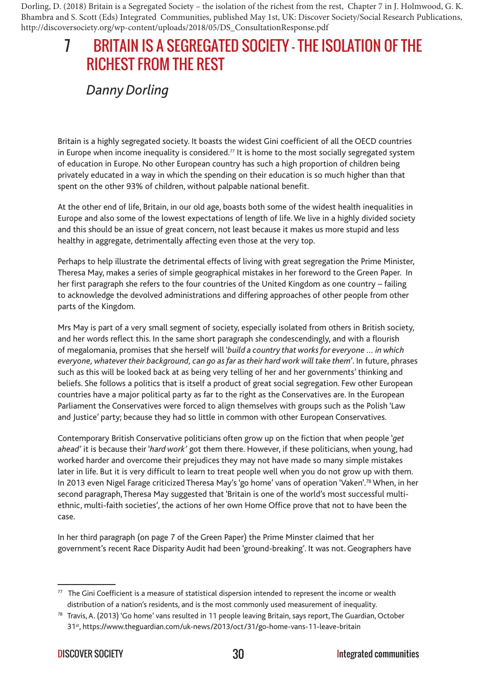Dorling, D. (2018) Britain is a Segregated Society – the isolation of the richest from the rest, Chapter 7 in J. Holmwood, G. K. Bhambra and S. Scott (Eds) Integrated Communities, published May 1st, UK: Discover Society/Social Research Publications, http://discoversociety.org/wp-content/uploads/2018/05/DS\_ConsultationResponse.pdf

## RICHEST FROM THE REST 7 BRITAIN IS A SEGREGATED SOCIETY – THE ISOLATION OF THE

## *Danny Dorling*

Britain is a highly segregated society. It boasts the widest Gini coefficient of all the OECD countries in Europe when income inequality is considered.<sup>77</sup> It is home to the most socially segregated system of education in Europe. No other European country has such a high proportion of children being privately educated in a way in which the spending on their education is so much higher than that spent on the other 93% of children, without palpable national benefit.

At the other end of life, Britain, in our old age, boasts both some of the widest health inequalities in Europe and also some of the lowest expectations of length of life. We live in a highly divided society and this should be an issue of great concern, not least because it makes us more stupid and less healthy in aggregate, detrimentally affecting even those at the very top.

Perhaps to help illustrate the detrimental effects of living with great segregation the Prime Minister, Theresa May, makes a series of simple geographical mistakes in her foreword to the Green Paper. In her first paragraph she refers to the four countries of the United Kingdom as one country – failing to acknowledge the devolved administrations and differing approaches of other people from other parts of the Kingdom.

Mrs May is part of a very small segment of society, especially isolated from others in British society, and her words reflect this. In the same short paragraph she condescendingly, and with a flourish of megalomania, promises that she herself will '*build a country that works for everyone … in which everyone, whatever their background, can go as far as their hard work will take them*'. In future, phrases such as this will be looked back at as being very telling of her and her governments' thinking and beliefs. She follows a politics that is itself a product of great social segregation. Few other European countries have a major political party as far to the right as the Conservatives are. In the European Parliament the Conservatives were forced to align themselves with groups such as the Polish 'Law and Justice' party; because they had so little in common with other European Conservatives.

Contemporary British Conservative politicians often grow up on the fiction that when people '*get ahead'* it is because their '*hard work'* got them there. However, if these politicians, when young, had worked harder and overcome their prejudices they may not have made so many simple mistakes later in life. But it is very difficult to learn to treat people well when you do not grow up with them. In 2013 even Nigel Farage criticized Theresa May's 'go home' vans of operation 'Vaken'.78 When, in her second paragraph, Theresa May suggested that 'Britain is one of the world's most successful multiethnic, multi-faith societies', the actions of her own Home Office prove that not to have been the case.

In her third paragraph (on page 7 of the Green Paper) the Prime Minster claimed that her government's recent Race Disparity Audit had been 'ground-breaking'. It was not. Geographers have

 $77$  The Gini Coefficient is a measure of statistical dispersion intended to represent the income or wealth distribution of a nation's residents, and is the most commonly used measurement of inequality.

<sup>78</sup> Travis, A. (2013) 'Go home' vans resulted in 11 people leaving Britain, says report, The Guardian, October 31<sup>st</sup>, https://www.theguardian.com/uk-news/2013/oct/31/go-home-vans-11-leave-britain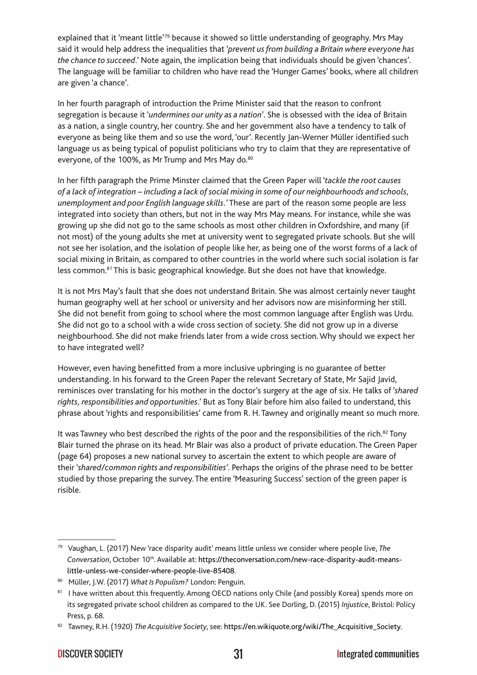explained that it 'meant little'<sup>79</sup> because it showed so little understanding of geography. Mrs May said it would help address the inequalities that '*prevent us from building a Britain where everyone has the chance to succeed*.' Note again, the implication being that individuals should be given 'chances'. The language will be familiar to children who have read the 'Hunger Games' books, where all children are given 'a chance'.

In her fourth paragraph of introduction the Prime Minister said that the reason to confront segregation is because it '*undermines our unity as a nation*'. She is obsessed with the idea of Britain as a nation, a single country, her country. She and her government also have a tendency to talk of everyone as being like them and so use the word, 'our'. Recently Jan-Werner Müller identified such language us as being typical of populist politicians who try to claim that they are representative of everyone, of the 100%, as Mr Trump and Mrs May do.<sup>80</sup>

In her fifth paragraph the Prime Minster claimed that the Green Paper will '*tackle the root causes of a lack of integration – including a lack of social mixing in some of our neighbourhoods and schools, unemployment and poor English language skills.*' These are part of the reason some people are less integrated into society than others, but not in the way Mrs May means. For instance, while she was growing up she did not go to the same schools as most other children in Oxfordshire, and many (if not most) of the young adults she met at university went to segregated private schools. But she will not see her isolation, and the isolation of people like her, as being one of the worst forms of a lack of social mixing in Britain, as compared to other countries in the world where such social isolation is far less common.<sup>81</sup> This is basic geographical knowledge. But she does not have that knowledge.

It is not Mrs May's fault that she does not understand Britain. She was almost certainly never taught human geography well at her school or university and her advisors now are misinforming her still. She did not benefit from going to school where the most common language after English was Urdu. She did not go to a school with a wide cross section of society. She did not grow up in a diverse neighbourhood. She did not make friends later from a wide cross section. Why should we expect her to have integrated well?

However, even having benefitted from a more inclusive upbringing is no guarantee of better understanding. In his forward to the Green Paper the relevant Secretary of State, Mr Sajid Javid, reminisces over translating for his mother in the doctor's surgery at the age of six. He talks of '*shared rights, responsibilities and opportunities*.' But as Tony Blair before him also failed to understand, this phrase about 'rights and responsibilities' came from R. H. Tawney and originally meant so much more.

It was Tawney who best described the rights of the poor and the responsibilities of the rich.<sup>82</sup> Tony Blair turned the phrase on its head. Mr Blair was also a product of private education. The Green Paper (page 64) proposes a new national survey to ascertain the extent to which people are aware of their '*shared/common rights and responsibilities'*. Perhaps the origins of the phrase need to be better studied by those preparing the survey. The entire 'Measuring Success' section of the green paper is risible.

<sup>79</sup> Vaughan, L. (2017) New 'race disparity audit' means little unless we consider where people live, *The Conversation*, October 10th. Available at: [https://theconversation.com/new-race-disparity-audit-means](https://theconversation.com/new-race-disparity-audit-means-little-unless-we-consider-where-people-live-85408)[little-unless-we-consider-where-people-live-85408](https://theconversation.com/new-race-disparity-audit-means-little-unless-we-consider-where-people-live-85408).

<sup>80</sup> Müller, J.W. (2017) *What Is Populism?* London: Penguin.

<sup>81</sup> I have written about this frequently. Among OECD nations only Chile (and possibly Korea) spends more on its segregated private school children as compared to the UK. See Dorling, D. (2015) *Injustice*, Bristol: Policy Press, p. 68.

<sup>82</sup> Tawney, R.H. (1920) *The Acquisitive Society*, see: [https://en.wikiquote.org/wiki/The\\_Acquisitive\\_Society.](https://en.wikiquote.org/wiki/The_Acquisitive_Society)